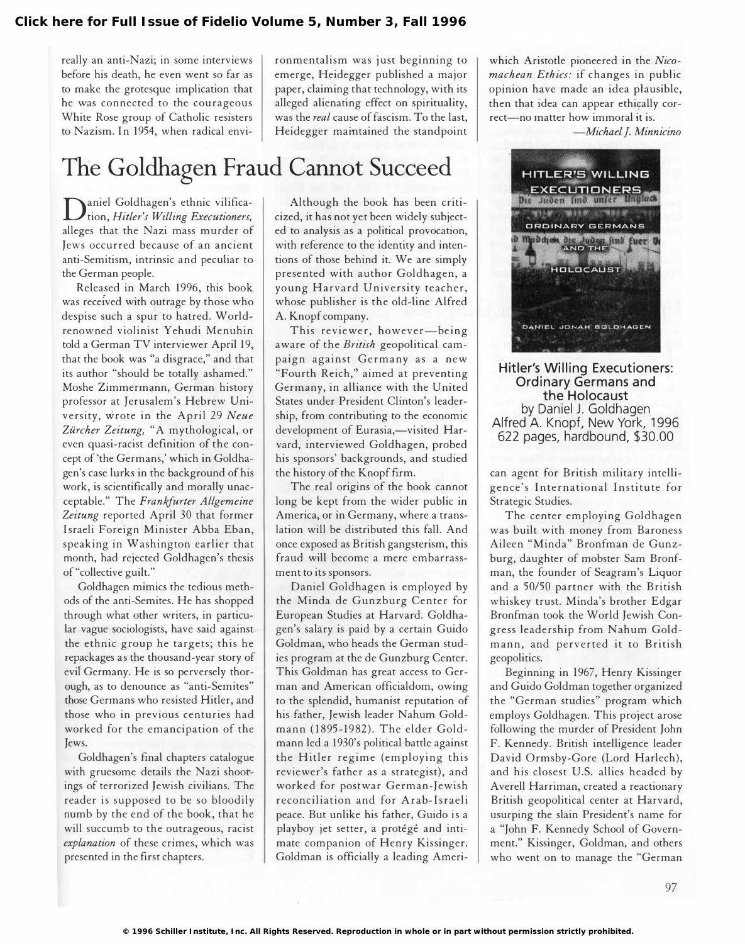really an anti-Nazi; in some interviews before his death, he even went so far as to make the grotesque implication that he was connected to the courageous White Rose group of Catholic resisters to Nazism. In 1954, when radical environmentalism was just beginning to emerge, Heidegger published a major paper, claiming that technology, with its alleged alienating effect on spirituality, was the real cause of fascism. To the last, Heidegger maintained the standpoint

## The Goldhagen Fraud Cannot Succeed

**D**aniel Goldhagen's ethnic vilifica-<br>tion, Hitler's Willing Executioners, aniel Goldhagen's ethnic vilificaalleges that the Nazi mass murder of Jews occurred because of an ancient anti-Semitism, intrinsic and peculiar to the German people.

Released in March 1996, this book. was received with outrage by those who despise such a spur to hatred. Worldrenowned violinist Yehudi Menuhin told a German TV interviewer April 19, that the book was "a disgrace," and that its author "should be totally ashamed." Moshe Zimmermann, German history professor at Jerusalem's Hebrew University, wrote in the April 29 Neue Zürcher Zeitung, "A mythological, or even quasi-racist definition of the concept of 'the Germans,' which in Goldhagen's case lurks in the background of his work, is scientifically and morally unacceptable." The Frankfurter Allgemeine Zeitung reported April 30 that former Israeli Foreign Minister Abba Eban, speaking in Washington earlier that month, had rejected Goldhagen's thesis of "collective guilt."

Goldhagen mimics the tedious methods of the anti-Semites. He has shopped through what other writers, in particular vague sociologists, have said against the ethnic group he targets; this he repackages as the thousand-year story of evil Germany. He is so perversely thorough, as to denounce as "anti-Semites" those Germans who resisted Hitler, and those who in previous centuries had worked for the emancipation of the Jews.

Goldhagen's final chapters catalogue with gruesome details the Nazi shootings of terrorized Jewish civilians. The reader is supposed to be so bloodily numb by the end of the book, that he will succumb to the outrageous, racist explanation of these crimes, which was presented in the first chapters.

Although the book has been criticized, it has not yet been widely subjected to analysis as a political provocation, with reference to the identity and intentions of those behind it. We are simply presented with author Goldhagen, a young Harvard University teacher, whose publisher is the old-line Alfred A. Knopf company.

This reviewer, however-being aware of the British geopolitical campaign against Germany as a new "Fourth Reich," aimed at preventing Germany, in alliance with the United States under President Clinton's leadership, from contributing to the economic development of Eurasia,-visited Harvard, interviewed Goldhagen, probed his sponsors' backgrounds, and studied the history of the Knopf firm.

The real origins of the book cannot long be kept from the wider public in America, or in Germany, where a translation will be distributed this fall. And once exposed as British gangsterism, this fraud will become a mere embarrassment to its sponsors.

Daniel Goldhagen is employed by the Minda de Gunzburg Center for European Studies at Harvard. Goldhagen's salary is paid by a certain Guido Goldman, who heads the German studies program at the de Gunzburg Center. This Goldman has great access to German and American officialdom, owing to the splendid, humanist reputation of his father, Jewish leader Nahum Goldmann (1895-1982). The elder Goldmann led a 1930's political battle against the Hitler regime (employing this reviewer's father as a strategist), and worked for postwar German-Jewish reconciliation and for Arab-Israeli peace. But unlike his father, Guido is a playboy jet setter, a protégé and intimate companion of Henry Kissinger. Goldman is officially a leading Ameriwhich Aristotle pioneered in the Nicomachean Ethics: if changes in public opinion have made an idea plausible, then that idea can appear ethically correct-no matter how immoral it is.

-Michael J. Minnicino



Hitler's Willing Executioners: Ordinary Germans and the Holocaust by Daniel J. Goldhagen Alfred A. Knopf, New York, 1996 622 pages, hardbound, \$30.00

can agent for British military intelligence's International Institute for Strategic Studies.

The center employing Goldhagen was built with money from Baroness Aileen "Minda" Bronfman de Gunzburg, daughter of mobster Sam Bronfman, the founder of Seagram's Liquor and a 50/50 partner with the British whiskey trust. Minda's brother Edgar Bronfman took the World Jewish Congress leadership from Nahum Goldmann, and perverted it to British geopolitics.

Beginning in 1967, Henry Kissinger and Guido Goldman together organized the "German studies" program which employs Goldhagen. This project arose following the murder of President John F. Kennedy. British intelligence leader David Ormsby-Gore (Lord Harlech), and his closest U.S. allies headed by Averell Harriman, created a reactionary British geopolitical center at Harvard, usurping the slain President's name for a "John F. Kennedy School of Government." Kissinger, Goldman, and others who went on to manage the "German